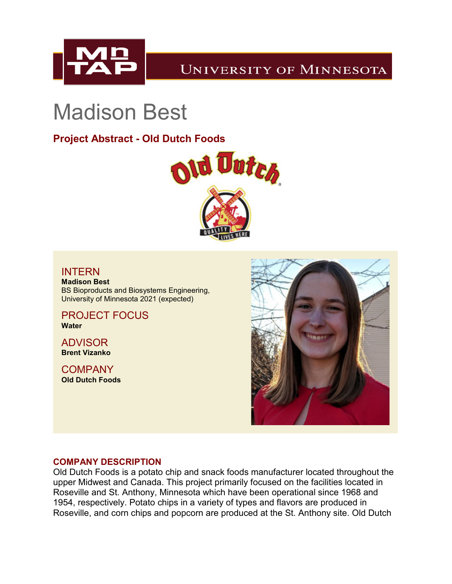

## **UNIVERSITY OF MINNESOTA**

# Madison Best

### **Project Abstract - Old Dutch Foods**



#### INTERN

**Madison Best** BS Bioproducts and Biosystems Engineering, University of Minnesota 2021 (expected)

PROJECT FOCUS **Water**

ADVISOR **Brent Vizanko**

**COMPANY Old Dutch Foods**



#### **COMPANY DESCRIPTION**

Old Dutch Foods is a potato chip and snack foods manufacturer located throughout the upper Midwest and Canada. This project primarily focused on the facilities located in Roseville and St. Anthony, Minnesota which have been operational since 1968 and 1954, respectively. Potato chips in a variety of types and flavors are produced in Roseville, and corn chips and popcorn are produced at the St. Anthony site. Old Dutch